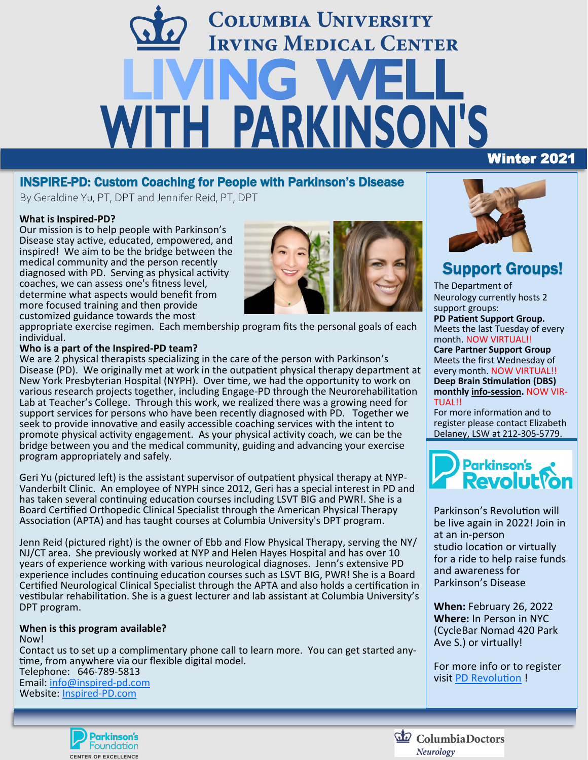# **COLUMBIA UNIVERSITY IRVING MEDICAL CENTER** ING W WITH PARKINSON'S Winter 2021

### INSPIRE-PD: Custom Coaching for People with Parkinson's Disease

By Geraldine Yu, PT, DPT and Jennifer Reid, PT, DPT

#### **What is Inspired-PD?**

Our mission is to help people with Parkinson's Disease stay active, educated, empowered, and inspired! We aim to be the bridge between the medical community and the person recently diagnosed with PD. Serving as physical activity coaches, we can assess one's fitness level, determine what aspects would benefit from more focused training and then provide customized guidance towards the most



appropriate exercise regimen. Each membership program fits the personal goals of each individual.

#### **Who is a part of the Inspired-PD team?**

We are 2 physical therapists specializing in the care of the person with Parkinson's Disease (PD). We originally met at work in the outpatient physical therapy department at New York Presbyterian Hospital (NYPH). Over time, we had the opportunity to work on various research projects together, including Engage-PD through the Neurorehabilitation Lab at Teacher's College. Through this work, we realized there was a growing need for support services for persons who have been recently diagnosed with PD. Together we seek to provide innovative and easily accessible coaching services with the intent to promote physical activity engagement. As your physical activity coach, we can be the bridge between you and the medical community, guiding and advancing your exercise program appropriately and safely.

Geri Yu (pictured left) is the assistant supervisor of outpatient physical therapy at NYP-Vanderbilt Clinic. An employee of NYPH since 2012, Geri has a special interest in PD and has taken several continuing education courses including LSVT BIG and PWR!. She is a Board Certified Orthopedic Clinical Specialist through the American Physical Therapy Association (APTA) and has taught courses at Columbia University's DPT program.

Jenn Reid (pictured right) is the owner of Ebb and Flow Physical Therapy, serving the NY/ NJ/CT area. She previously worked at NYP and Helen Hayes Hospital and has over 10 years of experience working with various neurological diagnoses. Jenn's extensive PD experience includes continuing education courses such as LSVT BIG, PWR! She is a Board Certified Neurological Clinical Specialist through the APTA and also holds a certification in vestibular rehabilitation. She is a guest lecturer and lab assistant at Columbia University's DPT program.

#### **When is this program available?** Now!

Contact us to set up a complimentary phone call to learn more. You can get started anytime, from anywhere via our flexible digital model. Telephone: 646-789-5813 Email: [info@inspired](mailto:info@inspired-pd.com?subject=Interested%20in%20Inspired-PD)-pd.com Website: Inspired-[PD.com](https://www.inspired-pd.com/) 



# Support Groups!

The Department of Neurology currently hosts 2 support groups: **PD Patient Support Group.**  Meets the last Tuesday of every month. NOW VIRTUAL!!

**Care Partner Support Group** Meets the first Wednesday of every month. NOW VIRTUAL!! **Deep Brain Stimulation (DBS) monthly info-session.** NOW VIR-TUAL!!

For more information and to register please contact Elizabeth Delaney, LSW at 212-305-5779.



Parkinson's Revolution will be live again in 2022! Join in at an in-person studio location or virtually for a ride to help raise funds and awareness for Parkinson's Disease

**When:** February 26, 2022 **Where:** In Person in NYC (CycleBar Nomad 420 Park Ave S.) or virtually!

For more info or to register visit [PD Revolution](https://secure3.convio.net/prkorg/site/SPageNavigator/Parkinsons_Revolution.html;jsessionid=00000000.app30131b?NONCE_TOKEN=03E2CDB7E8B6E6FEE06B3FA7ACB2FFE6&_ga=2.61049637.846149692.1638912697-493839272.1617206765) !



ColumbiaDoctors Neurology